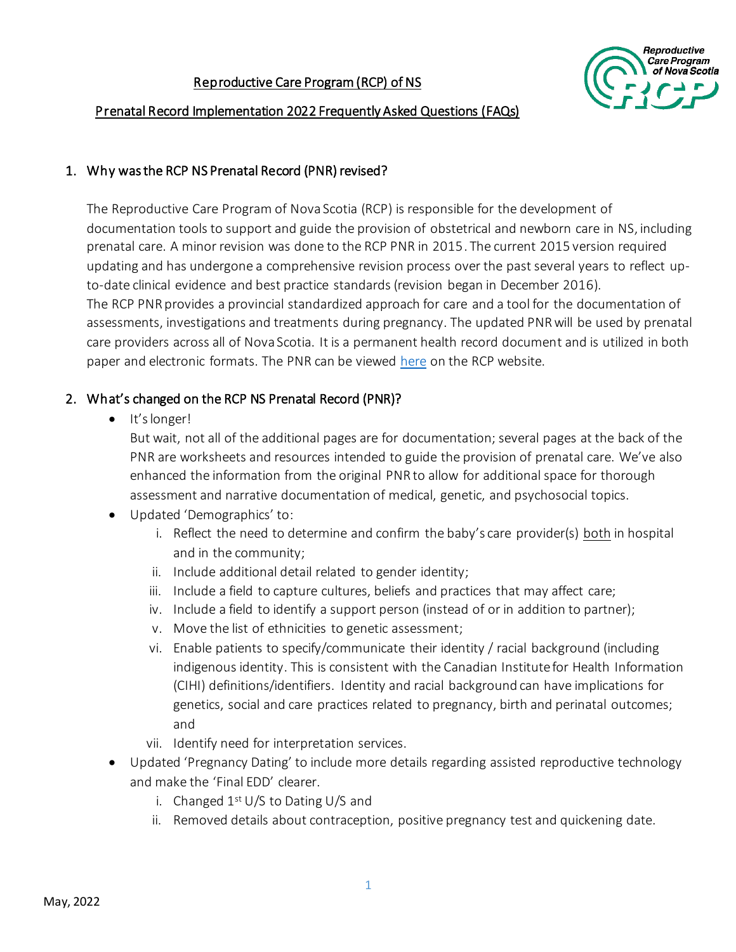

#### Prenatal Record Implementation 2022 Frequently Asked Questions (FAQs)

#### 1. Why was the RCP NS Prenatal Record (PNR) revised?

The Reproductive Care Program of Nova Scotia (RCP) is responsible for the development of documentation tools to support and guide the provision of obstetrical and newborn care in NS, including prenatal care. A minor revision was done to the RCP PNR in 2015. The current 2015 version required updating and has undergone a comprehensive revision process over the past several years to reflect upto-date clinical evidence and best practice standards (revision began in December 2016). The RCP PNR provides a provincial standardized approach for care and a tool for the documentation of assessments, investigations and treatments during pregnancy. The updated PNR will be used by prenatal care providers across all of Nova Scotia. It is a permanent health record document and is utilized in both paper and electronic formats. The PNR can be viewed [here](http://rcp.nshealth.ca/chart-prenatal-forms/nova-scotia-prenatal-record) on the RCP website.

### 2. What's changed on the RCP NS Prenatal Record (PNR)?

• It's longer!

But wait, not all of the additional pages are for documentation; several pages at the back of the PNR are worksheets and resources intended to guide the provision of prenatal care. We've also enhanced the information from the original PNR to allow for additional space for thorough assessment and narrative documentation of medical, genetic, and psychosocial topics.

- Updated 'Demographics' to:
	- i. Reflect the need to determine and confirm the baby's care provider(s) both in hospital and in the community;
	- ii. Include additional detail related to gender identity;
	- iii. Include a field to capture cultures, beliefs and practices that may affect care;
	- iv. Include a field to identify a support person (instead of or in addition to partner);
	- v. Move the list of ethnicities to genetic assessment;
	- vi. Enable patients to specify/communicate their identity / racial background (including indigenous identity. This is consistent with the Canadian Institute for Health Information (CIHI) definitions/identifiers. Identity and racial background can have implications for genetics, social and care practices related to pregnancy, birth and perinatal outcomes; and
	- vii. Identify need for interpretation services.
- Updated 'Pregnancy Dating' to include more details regarding assisted reproductive technology and make the 'Final EDD' clearer.
	- i. Changed  $1<sup>st</sup> U/S$  to Dating U/S and
	- ii. Removed details about contraception, positive pregnancy test and quickening date.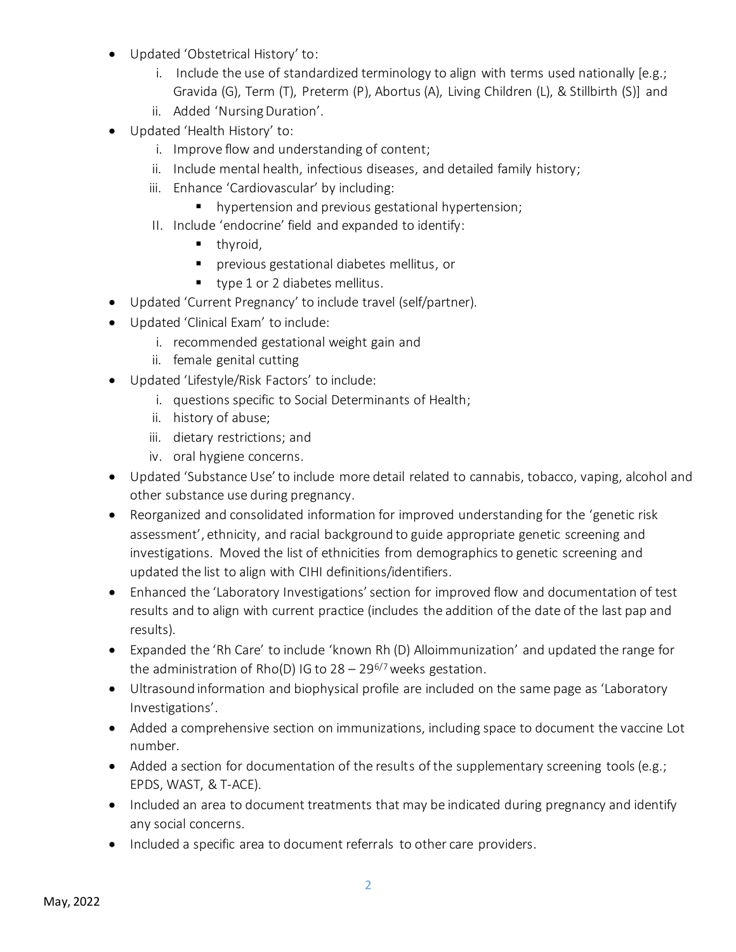- Updated 'Obstetrical History' to:
	- i. Include the use of standardized terminology to align with terms used nationally [e.g.; Gravida (G), Term (T), Preterm (P), Abortus (A), Living Children (L), & Stillbirth (S)] and
	- ii. Added 'Nursing Duration'.
- Updated 'Health History' to:
	- i. Improve flow and understanding of content;
	- ii. Include mental health, infectious diseases, and detailed family history;
	- iii. Enhance 'Cardiovascular' by including:
		- hypertension and previous gestational hypertension;
	- II. Include 'endocrine' field and expanded to identify:
		- $\blacksquare$  thyroid,
		- **•** previous gestational diabetes mellitus, or
		- type 1 or 2 diabetes mellitus.
- Updated 'Current Pregnancy' to include travel (self/partner).
- Updated 'Clinical Exam' to include:
	- i. recommended gestational weight gain and
	- ii. female genital cutting
- Updated 'Lifestyle/Risk Factors' to include:
	- i. questions specific to Social Determinants of Health;
	- ii. history of abuse;
	- iii. dietary restrictions; and
	- iv. oral hygiene concerns.
- Updated 'Substance Use' to include more detail related to cannabis, tobacco, vaping, alcohol and other substance use during pregnancy.
- Reorganized and consolidated information for improved understanding for the 'genetic risk assessment', ethnicity, and racial background to guide appropriate genetic screening and investigations. Moved the list of ethnicities from demographics to genetic screening and updated the list to align with CIHI definitions/identifiers.
- Enhanced the 'Laboratory Investigations' section for improved flow and documentation of test results and to align with current practice (includes the addition of the date of the last pap and results).
- Expanded the 'Rh Care' to include 'known Rh (D) Alloimmunization' and updated the range for the administration of Rho(D) IG to  $28 - 29^{6/7}$  weeks gestation.
- Ultrasound information and biophysical profile are included on the same page as 'Laboratory Investigations'.
- Added a comprehensive section on immunizations, including space to document the vaccine Lot number.
- Added a section for documentation of the results of the supplementary screening tools (e.g.; EPDS, WAST, & T-ACE).
- Included an area to document treatments that may be indicated during pregnancy and identify any social concerns.
- Included a specific area to document referrals to other care providers.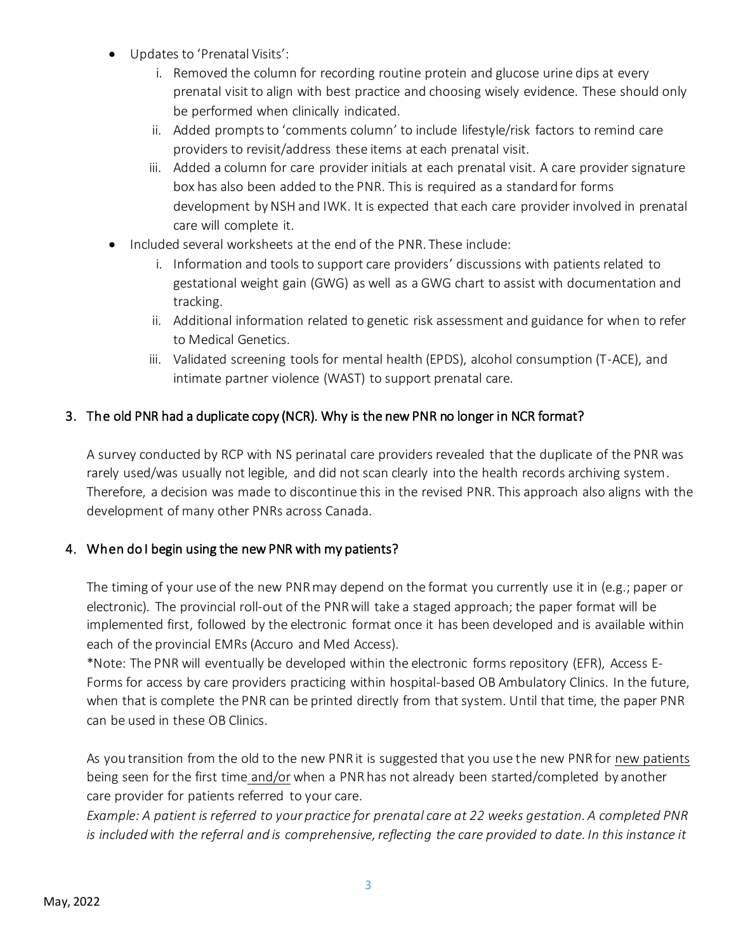- Updates to 'Prenatal Visits':
	- i. Removed the column for recording routine protein and glucose urine dips at every prenatal visit to align with best practice and choosing wisely evidence. These should only be performed when clinically indicated.
	- ii. Added prompts to 'comments column' to include lifestyle/risk factors to remind care providers to revisit/address these items at each prenatal visit.
	- iii. Added a column for care provider initials at each prenatal visit. A care provider signature box has also been added to the PNR. This is required as a standard for forms development by NSH and IWK. It is expected that each care provider involved in prenatal care will complete it.
- Included several worksheets at the end of the PNR. These include:
	- i. Information and tools to support care providers' discussions with patients related to gestational weight gain (GWG) as well as a GWG chart to assist with documentation and tracking.
	- ii. Additional information related to genetic risk assessment and guidance for when to refer to Medical Genetics.
	- iii. Validated screening tools for mental health (EPDS), alcohol consumption (T-ACE), and intimate partner violence (WAST) to support prenatal care.

# 3. The old PNR had a duplicate copy (NCR). Why is the new PNR no longer in NCR format?

A survey conducted by RCP with NS perinatal care providers revealed that the duplicate of the PNR was rarely used/was usually not legible, and did not scan clearly into the health records archiving system. Therefore, a decision was made to discontinue this in the revised PNR. This approach also aligns with the development of many other PNRs across Canada.

## 4. When do I begin using the new PNR with my patients?

The timing of your use of the new PNR may depend on the format you currently use it in (e.g.; paper or electronic). The provincial roll-out of the PNR will take a staged approach; the paper format will be implemented first, followed by the electronic format once it has been developed and is available within each of the provincial EMRs (Accuro and Med Access).

\*Note: The PNR will eventually be developed within the electronic forms repository (EFR), Access E-Forms for access by care providers practicing within hospital-based OB Ambulatory Clinics. In the future, when that is complete the PNR can be printed directly from that system. Until that time, the paper PNR can be used in these OB Clinics.

As you transition from the old to the new PNR it is suggested that you use the new PNR for new patients being seen for the first time and/or when a PNR has not already been started/completed by another care provider for patients referred to your care.

*Example: A patient is referred to your practice for prenatal care at 22 weeks gestation. A completed PNR is included with the referral and is comprehensive, reflecting the care provided to date. In this instance it*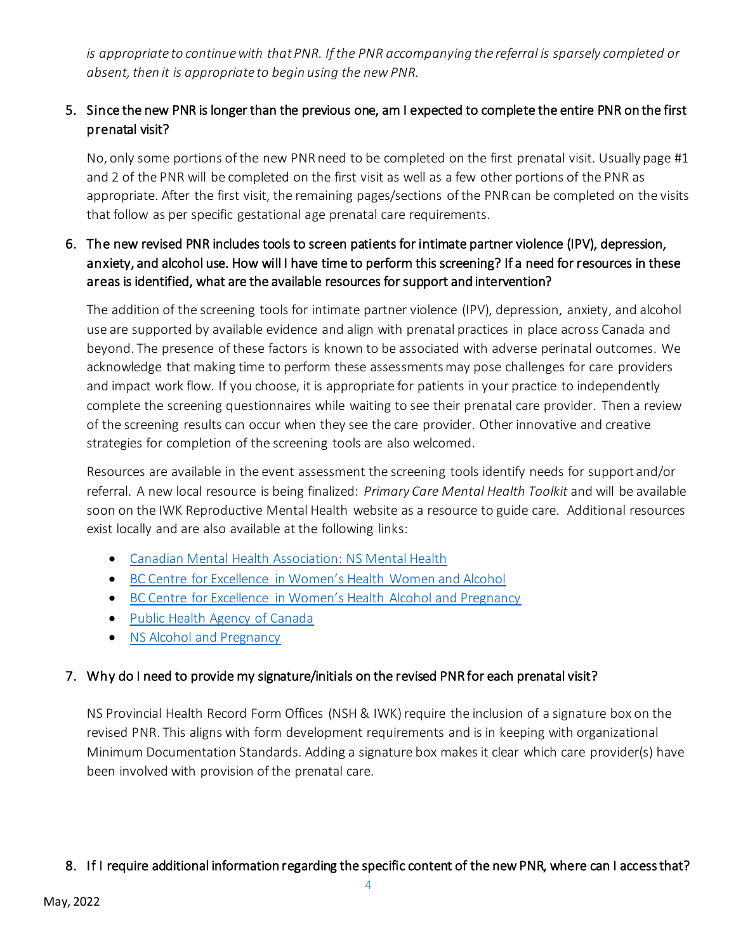*is appropriate to continue with that PNR. If the PNR accompanying the referral is sparsely completed or*  absent, then it is appropriate to begin using the new PNR.

# 5. Since the new PNR is longer than the previous one, am I expected to complete the entire PNR on the first prenatal visit?

No, only some portions of the new PNR need to be completed on the first prenatal visit. Usually page #1 and 2 of the PNR will be completed on the first visit as well as a few other portions of the PNR as appropriate. After the first visit, the remaining pages/sections of the PNR can be completed on the visits that follow as per specific gestational age prenatal care requirements.

# 6. The new revised PNR includes tools to screen patients for intimate partner violence (IPV), depression, anxiety, and alcohol use. How will I have time to perform this screening? If a need for resources in these areas is identified, what are the available resources for support and intervention?

The addition of the screening tools for intimate partner violence (IPV), depression, anxiety, and alcohol use are supported by available evidence and align with prenatal practices in place across Canada and beyond. The presence of these factors is known to be associated with adverse perinatal outcomes. We acknowledge that making time to perform these assessments may pose challenges for care providers and impact work flow. If you choose, it is appropriate for patients in your practice to independently complete the screening questionnaires while waiting to see their prenatal care provider. Then a review of the screening results can occur when they see the care provider. Other innovative and creative strategies for completion of the screening tools are also welcomed.

Resources are available in the event assessment the screening tools identify needs for support and/or referral. A new local resource is being finalized: *Primary Care Mental Health Toolkit* and will be available soon on the IWK Reproductive Mental Health website as a resource to guide care. Additional resources exist locally and are also available at the following links:

- [Canadian Mental Health Association: NS Mental Health](https://novascotia.cmha.ca/mental-health/womens-mental-health-wellness/resources/)
- [BC Centre for Excellence in Women's Health Women and Alcohol](https://bccewh.bc.ca/wp-content/uploads/2018/03/InfoSheet-Women-Alcohol0308.pdf)
- [BC Centre for Excellence in Women's Health Alcohol and Pregnancy](https://bccewh.bc.ca/wp-content/uploads/2016/04/Infographics-Alcohol-and-Pregnancy-English.pdf)
- [Public Health Agency of Canada](https://www.canada.ca/en/public-health/services/health-promotion/healthy-pregnancy/healthy-pregnancy-guide.html#a3)
- [NS Alcohol and Pregnancy](https://novascotia.ca/dhw/addictions/documents/Alcohol_Pregnancy.pdf)

## 7. Why do I need to provide my signature/initials on the revised PNR for each prenatal visit?

NS Provincial Health Record Form Offices (NSH & IWK) require the inclusion of a signature box on the revised PNR. This aligns with form development requirements and is in keeping with organizational Minimum Documentation Standards. Adding a signature box makes it clear which care provider(s) have been involved with provision of the prenatal care.

## 8. If I require additional information regarding the specific content of the new PNR, where can I access that?